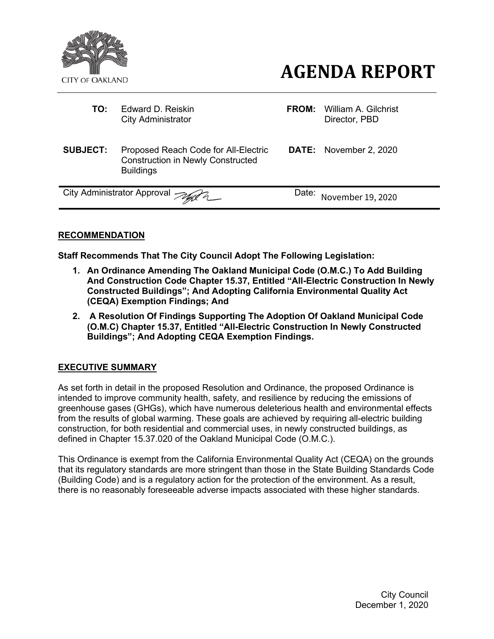

- City Administrator
- **AGENDA REPORT** 
	- **TO:** Edward D. Reiskin **FROM:** William A. Gilchrist City Administrator **FROM:** Director, PBD
- **SUBJECT:** Proposed Reach Code for All-Electric Construction in Newly Constructed **Buildings DATE:** November 2, 2020

City Administrator Approval  $\gg$ 

Date: November 19, 2020

## **RECOMMENDATION**

**Staff Recommends That The City Council Adopt The Following Legislation:**

- **1. An Ordinance Amending The Oakland Municipal Code (O.M.C.) To Add Building And Construction Code Chapter 15.37, Entitled "All-Electric Construction In Newly Constructed Buildings"; And Adopting California Environmental Quality Act (CEQA) Exemption Findings; And**
- **2. A Resolution Of Findings Supporting The Adoption Of Oakland Municipal Code (O.M.C) Chapter 15.37, Entitled "All-Electric Construction In Newly Constructed Buildings"; And Adopting CEQA Exemption Findings.**

### **EXECUTIVE SUMMARY**

As set forth in detail in the proposed Resolution and Ordinance, the proposed Ordinance is intended to improve community health, safety, and resilience by reducing the emissions of greenhouse gases (GHGs), which have numerous deleterious health and environmental effects from the results of global warming. These goals are achieved by requiring all-electric building construction, for both residential and commercial uses, in newly constructed buildings, as defined in Chapter 15.37.020 of the Oakland Municipal Code (O.M.C.).

This Ordinance is exempt from the California Environmental Quality Act (CEQA) on the grounds that its regulatory standards are more stringent than those in the State Building Standards Code (Building Code) and is a regulatory action for the protection of the environment. As a result, there is no reasonably foreseeable adverse impacts associated with these higher standards.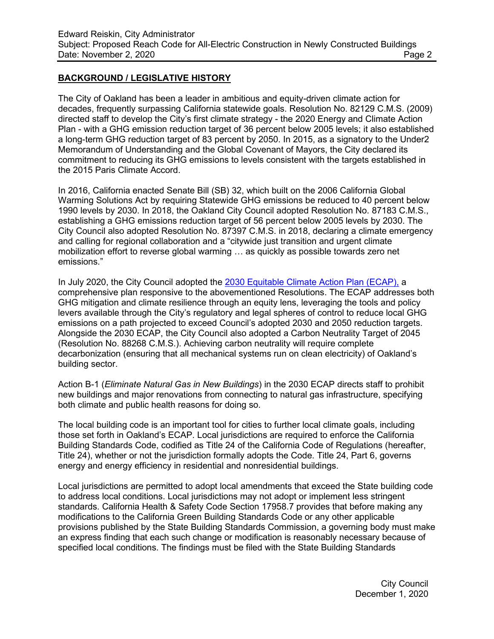### **BACKGROUND / LEGISLATIVE HISTORY**

The City of Oakland has been a leader in ambitious and equity-driven climate action for decades, frequently surpassing California statewide goals. Resolution No. 82129 C.M.S. (2009) directed staff to develop the City's first climate strategy - the 2020 Energy and Climate Action Plan - with a GHG emission reduction target of 36 percent below 2005 levels; it also established a long-term GHG reduction target of 83 percent by 2050. In 2015, as a signatory to the Under2 Memorandum of Understanding and the Global Covenant of Mayors, the City declared its commitment to reducing its GHG emissions to levels consistent with the targets established in the 2015 Paris Climate Accord.

In 2016, California enacted Senate Bill (SB) 32, which built on the 2006 California Global Warming Solutions Act by requiring Statewide GHG emissions be reduced to 40 percent below 1990 levels by 2030. In 2018, the Oakland City Council adopted Resolution No. 87183 C.M.S., establishing a GHG emissions reduction target of 56 percent below 2005 levels by 2030. The City Council also adopted Resolution No. 87397 C.M.S. in 2018, declaring a climate emergency and calling for regional collaboration and a "citywide just transition and urgent climate mobilization effort to reverse global warming … as quickly as possible towards zero net emissions."

In July 2020, the City Council adopted the 2030 Equitable [Climate Action Plan](https://cao-94612.s3.amazonaws.com/documents/Oakland-ECAP-07-24.pdf) (ECAP), a comprehensive plan responsive to the abovementioned Resolutions. The ECAP addresses both GHG mitigation and climate resilience through an equity lens, leveraging the tools and policy levers available through the City's regulatory and legal spheres of control to reduce local GHG emissions on a path projected to exceed Council's adopted 2030 and 2050 reduction targets. Alongside the 2030 ECAP, the City Council also adopted a Carbon Neutrality Target of 2045 (Resolution No. 88268 C.M.S.). Achieving carbon neutrality will require complete decarbonization (ensuring that all mechanical systems run on clean electricity) of Oakland's building sector.

Action B-1 (*Eliminate Natural Gas in New Buildings*) in the 2030 ECAP directs staff to prohibit new buildings and major renovations from connecting to natural gas infrastructure, specifying both climate and public health reasons for doing so.

The local building code is an important tool for cities to further local climate goals, including those set forth in Oakland's ECAP. Local jurisdictions are required to enforce the California Building Standards Code, codified as Title 24 of the California Code of Regulations (hereafter, Title 24), whether or not the jurisdiction formally adopts the Code. Title 24, Part 6, governs energy and energy efficiency in residential and nonresidential buildings.

Local jurisdictions are permitted to adopt local amendments that exceed the State building code to address local conditions. Local jurisdictions may not adopt or implement less stringent standards. California Health & Safety Code Section 17958.7 provides that before making any modifications to the California Green Building Standards Code or any other applicable provisions published by the State Building Standards Commission, a governing body must make an express finding that each such change or modification is reasonably necessary because of specified local conditions. The findings must be filed with the State Building Standards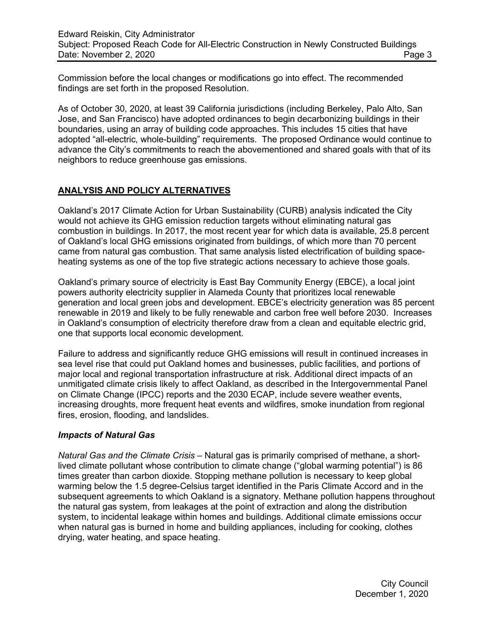Commission before the local changes or modifications go into effect. The recommended findings are set forth in the proposed Resolution.

As of October 30, 2020, at least 39 California jurisdictions (including Berkeley, Palo Alto, San Jose, and San Francisco) have adopted ordinances to begin decarbonizing buildings in their boundaries, using an array of building code approaches. This includes 15 cities that have adopted "all-electric, whole-building" requirements. The proposed Ordinance would continue to advance the City's commitments to reach the abovementioned and shared goals with that of its neighbors to reduce greenhouse gas emissions.

## **ANALYSIS AND POLICY ALTERNATIVES**

Oakland's 2017 Climate Action for Urban Sustainability (CURB) analysis indicated the City would not achieve its GHG emission reduction targets without eliminating natural gas combustion in buildings. In 2017, the most recent year for which data is available, 25.8 percent of Oakland's local GHG emissions originated from buildings, of which more than 70 percent came from natural gas combustion. That same analysis listed electrification of building spaceheating systems as one of the top five strategic actions necessary to achieve those goals.

Oakland's primary source of electricity is East Bay Community Energy (EBCE), a local joint powers authority electricity supplier in Alameda County that prioritizes local renewable generation and local green jobs and development. EBCE's electricity generation was 85 percent renewable in 2019 and likely to be fully renewable and carbon free well before 2030. Increases in Oakland's consumption of electricity therefore draw from a clean and equitable electric grid, one that supports local economic development.

Failure to address and significantly reduce GHG emissions will result in continued increases in sea level rise that could put Oakland homes and businesses, public facilities, and portions of major local and regional transportation infrastructure at risk. Additional direct impacts of an unmitigated climate crisis likely to affect Oakland, as described in the Intergovernmental Panel on Climate Change (IPCC) reports and the 2030 ECAP, include severe weather events, increasing droughts, more frequent heat events and wildfires, smoke inundation from regional fires, erosion, flooding, and landslides.

### *Impacts of Natural Gas*

*Natural Gas and the Climate Crisis –* Natural gas is primarily comprised of methane, a shortlived climate pollutant whose contribution to climate change ("global warming potential") is 86 times greater than carbon dioxide. Stopping methane pollution is necessary to keep global warming below the 1.5 degree-Celsius target identified in the Paris Climate Accord and in the subsequent agreements to which Oakland is a signatory. Methane pollution happens throughout the natural gas system, from leakages at the point of extraction and along the distribution system, to incidental leakage within homes and buildings. Additional climate emissions occur when natural gas is burned in home and building appliances, including for cooking, clothes drying, water heating, and space heating.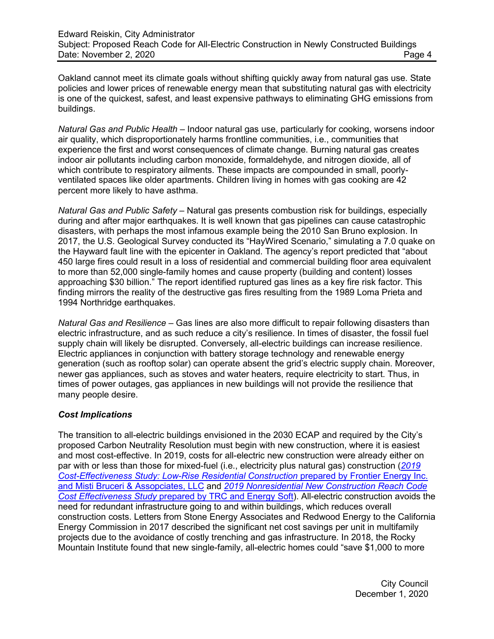Oakland cannot meet its climate goals without shifting quickly away from natural gas use. State policies and lower prices of renewable energy mean that substituting natural gas with electricity is one of the quickest, safest, and least expensive pathways to eliminating GHG emissions from buildings.

*Natural Gas and Public Health –* Indoor natural gas use, particularly for cooking, worsens indoor air quality, which disproportionately harms frontline communities, i.e., communities that experience the first and worst consequences of climate change. Burning natural gas creates indoor air pollutants including carbon monoxide, formaldehyde, and nitrogen dioxide, all of which contribute to respiratory ailments. These impacts are compounded in small, poorlyventilated spaces like older apartments. Children living in homes with gas cooking are 42 percent more likely to have asthma.

*Natural Gas and Public Safety –* Natural gas presents combustion risk for buildings, especially during and after major earthquakes. It is well known that gas pipelines can cause catastrophic disasters, with perhaps the most infamous example being the 2010 San Bruno explosion. In 2017, the U.S. Geological Survey conducted its "HayWired Scenario," simulating a 7.0 quake on the Hayward fault line with the epicenter in Oakland. The agency's report predicted that "about 450 large fires could result in a loss of residential and commercial building floor area equivalent to more than 52,000 single-family homes and cause property (building and content) losses approaching \$30 billion." The report identified ruptured gas lines as a key fire risk factor. This finding mirrors the reality of the destructive gas fires resulting from the 1989 Loma Prieta and 1994 Northridge earthquakes.

*Natural Gas and Resilience –* Gas lines are also more difficult to repair following disasters than electric infrastructure, and as such reduce a city's resilience. In times of disaster, the fossil fuel supply chain will likely be disrupted. Conversely, all-electric buildings can increase resilience. Electric appliances in conjunction with battery storage technology and renewable energy generation (such as rooftop solar) can operate absent the grid's electric supply chain. Moreover, newer gas appliances, such as stoves and water heaters, require electricity to start. Thus, in times of power outages, gas appliances in new buildings will not provide the resilience that many people desire.

### *Cost Implications*

The transition to all-electric buildings envisioned in the 2030 ECAP and required by the City's proposed Carbon Neutrality Resolution must begin with new construction, where it is easiest and most cost-effective. In 2019, costs for all-electric new construction were already either on par with or less than those for mixed-fuel (i.e., electricity plus natural gas) construction (*[2019](https://drive.google.com/file/d/1FzSH6-tB6QBW_CIF80sqVKpWgxPFGGN_/view)  [Cost-Effectiveness Study: Low-Rise Residential Construction](https://drive.google.com/file/d/1FzSH6-tB6QBW_CIF80sqVKpWgxPFGGN_/view)* prepared by Frontier Energy Inc. [and Misti Bruceri & Assopciates, LLC](https://drive.google.com/file/d/1FzSH6-tB6QBW_CIF80sqVKpWgxPFGGN_/view) and *[2019 Nonresidential New Construction](https://drive.google.com/file/d/1c4YLkKyfb05mJHyuVKbEY4h73qu7H9SZ/view) Reach Code Cost Effectiveness Study* [prepared by TRC and Energy Soft\)](https://drive.google.com/file/d/1c4YLkKyfb05mJHyuVKbEY4h73qu7H9SZ/view). All-electric construction avoids the need for redundant infrastructure going to and within buildings, which reduces overall construction costs. Letters from Stone Energy Associates and Redwood Energy to the California Energy Commission in 2017 described the significant net cost savings per unit in multifamily projects due to the avoidance of costly trenching and gas infrastructure. In 2018, the Rocky Mountain Institute found that new single-family, all-electric homes could "save \$1,000 to more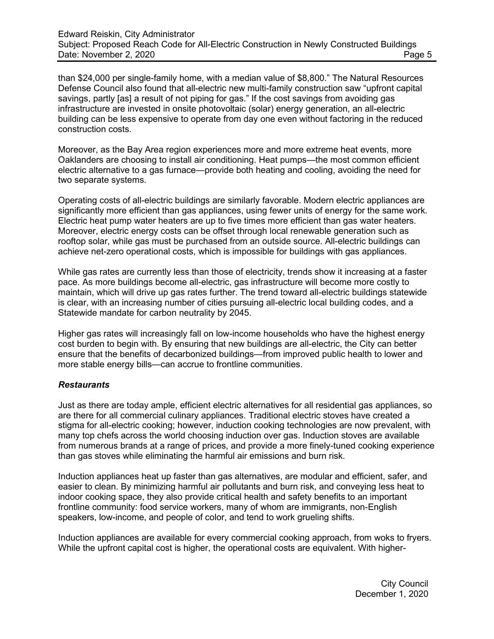than \$24,000 per single-family home, with a median value of \$8,800." The Natural Resources Defense Council also found that all-electric new multi-family construction saw "upfront capital savings, partly [as] a result of not piping for gas." If the cost savings from avoiding gas infrastructure are invested in onsite photovoltaic (solar) energy generation, an all-electric building can be less expensive to operate from day one even without factoring in the reduced construction costs.

Moreover, as the Bay Area region experiences more and more extreme heat events, more Oaklanders are choosing to install air conditioning. Heat pumps—the most common efficient electric alternative to a gas furnace—provide both heating and cooling, avoiding the need for two separate systems.

Operating costs of all-electric buildings are similarly favorable. Modern electric appliances are significantly more efficient than gas appliances, using fewer units of energy for the same work. Electric heat pump water heaters are up to five times more efficient than gas water heaters. Moreover, electric energy costs can be offset through local renewable generation such as rooftop solar, while gas must be purchased from an outside source. All-electric buildings can achieve net-zero operational costs, which is impossible for buildings with gas appliances.

While gas rates are currently less than those of electricity, trends show it increasing at a faster pace. As more buildings become all-electric, gas infrastructure will become more costly to maintain, which will drive up gas rates further. The trend toward all-electric buildings statewide is clear, with an increasing number of cities pursuing all-electric local building codes, and a Statewide mandate for carbon neutrality by 2045.

Higher gas rates will increasingly fall on low-income households who have the highest energy cost burden to begin with. By ensuring that new buildings are all-electric, the City can better ensure that the benefits of decarbonized buildings—from improved public health to lower and more stable energy bills—can accrue to frontline communities.

### *Restaurants*

Just as there are today ample, efficient electric alternatives for all residential gas appliances, so are there for all commercial culinary appliances. Traditional electric stoves have created a stigma for all-electric cooking; however, induction cooking technologies are now prevalent, with many top chefs across the world choosing induction over gas. Induction stoves are available from numerous brands at a range of prices, and provide a more finely-tuned cooking experience than gas stoves while eliminating the harmful air emissions and burn risk.

Induction appliances heat up faster than gas alternatives, are modular and efficient, safer, and easier to clean. By minimizing harmful air pollutants and burn risk, and conveying less heat to indoor cooking space, they also provide critical health and safety benefits to an important frontline community: food service workers, many of whom are immigrants, non-English speakers, low-income, and people of color, and tend to work grueling shifts.

Induction appliances are available for every commercial cooking approach, from woks to fryers. While the upfront capital cost is higher, the operational costs are equivalent. With higher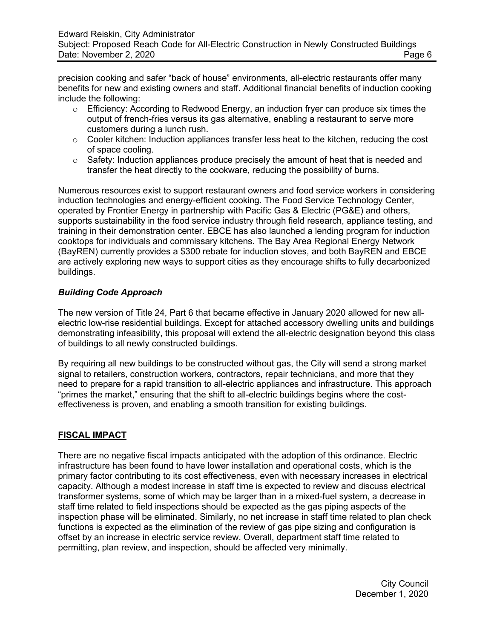precision cooking and safer "back of house" environments, all-electric restaurants offer many benefits for new and existing owners and staff. Additional financial benefits of induction cooking include the following:

- o Efficiency: According to Redwood Energy, an induction fryer can produce six times the output of french-fries versus its gas alternative, enabling a restaurant to serve more customers during a lunch rush.
- $\circ$  Cooler kitchen: Induction appliances transfer less heat to the kitchen, reducing the cost of space cooling.
- $\circ$  Safety: Induction appliances produce precisely the amount of heat that is needed and transfer the heat directly to the cookware, reducing the possibility of burns.

Numerous resources exist to support restaurant owners and food service workers in considering induction technologies and energy-efficient cooking. The Food Service Technology Center, operated by Frontier Energy in partnership with Pacific Gas & Electric (PG&E) and others, supports sustainability in the food service industry through field research, appliance testing, and training in their demonstration center. EBCE has also launched a lending program for induction cooktops for individuals and commissary kitchens. The Bay Area Regional Energy Network (BayREN) currently provides a \$300 rebate for induction stoves, and both BayREN and EBCE are actively exploring new ways to support cities as they encourage shifts to fully decarbonized buildings.

# *Building Code Approach*

The new version of Title 24, Part 6 that became effective in January 2020 allowed for new allelectric low-rise residential buildings. Except for attached accessory dwelling units and buildings demonstrating infeasibility, this proposal will extend the all-electric designation beyond this class of buildings to all newly constructed buildings.

By requiring all new buildings to be constructed without gas, the City will send a strong market signal to retailers, construction workers, contractors, repair technicians, and more that they need to prepare for a rapid transition to all-electric appliances and infrastructure. This approach "primes the market," ensuring that the shift to all-electric buildings begins where the costeffectiveness is proven, and enabling a smooth transition for existing buildings.

# **FISCAL IMPACT**

There are no negative fiscal impacts anticipated with the adoption of this ordinance. Electric infrastructure has been found to have lower installation and operational costs, which is the primary factor contributing to its cost effectiveness, even with necessary increases in electrical capacity. Although a modest increase in staff time is expected to review and discuss electrical transformer systems, some of which may be larger than in a mixed-fuel system, a decrease in staff time related to field inspections should be expected as the gas piping aspects of the inspection phase will be eliminated. Similarly, no net increase in staff time related to plan check functions is expected as the elimination of the review of gas pipe sizing and configuration is offset by an increase in electric service review. Overall, department staff time related to permitting, plan review, and inspection, should be affected very minimally.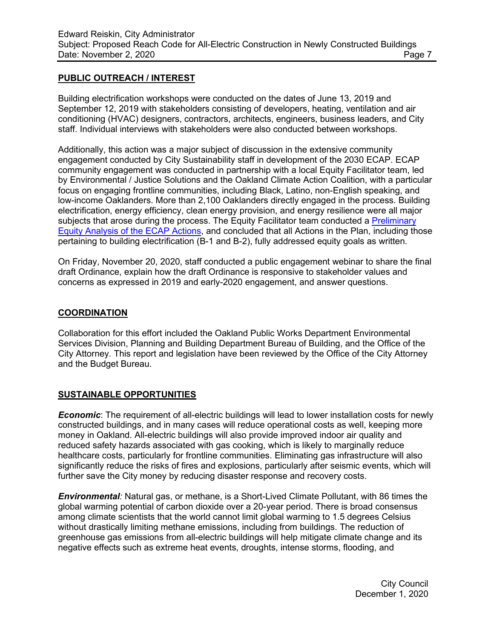### **PUBLIC OUTREACH / INTEREST**

Building electrification workshops were conducted on the dates of June 13, 2019 and September 12, 2019 with stakeholders consisting of developers, heating, ventilation and air conditioning (HVAC) designers, contractors, architects, engineers, business leaders, and City staff. Individual interviews with stakeholders were also conducted between workshops.

Additionally, this action was a major subject of discussion in the extensive community engagement conducted by City Sustainability staff in development of the 2030 ECAP. ECAP community engagement was conducted in partnership with a local Equity Facilitator team, led by Environmental / Justice Solutions and the Oakland Climate Action Coalition, with a particular focus on engaging frontline communities, including Black, Latino, non-English speaking, and low-income Oaklanders. More than 2,100 Oaklanders directly engaged in the process. Building electrification, energy efficiency, clean energy provision, and energy resilience were all major subjects that arose during the process. The Equity Facilitator team conducted a Preliminary [Equity Analysis of the ECAP Actions,](https://cao-94612.s3.amazonaws.com/documents/FINAL_Complete_EF-Racial-Equity-Impact-Assessment_7.3.2020_v2.pdf) and concluded that all Actions in the Plan, including those pertaining to building electrification (B-1 and B-2), fully addressed equity goals as written.

On Friday, November 20, 2020, staff conducted a public engagement webinar to share the final draft Ordinance, explain how the draft Ordinance is responsive to stakeholder values and concerns as expressed in 2019 and early-2020 engagement, and answer questions.

## **COORDINATION**

Collaboration for this effort included the Oakland Public Works Department Environmental Services Division, Planning and Building Department Bureau of Building, and the Office of the City Attorney. This report and legislation have been reviewed by the Office of the City Attorney and the Budget Bureau.

### **SUSTAINABLE OPPORTUNITIES**

*Economic*: The requirement of all-electric buildings will lead to lower installation costs for newly constructed buildings, and in many cases will reduce operational costs as well, keeping more money in Oakland. All-electric buildings will also provide improved indoor air quality and reduced safety hazards associated with gas cooking, which is likely to marginally reduce healthcare costs, particularly for frontline communities. Eliminating gas infrastructure will also significantly reduce the risks of fires and explosions, particularly after seismic events, which will further save the City money by reducing disaster response and recovery costs.

*Environmental:* Natural gas, or methane, is a Short-Lived Climate Pollutant, with 86 times the global warming potential of carbon dioxide over a 20-year period. There is broad consensus among climate scientists that the world cannot limit global warming to 1.5 degrees Celsius without drastically limiting methane emissions, including from buildings. The reduction of greenhouse gas emissions from all-electric buildings will help mitigate climate change and its negative effects such as extreme heat events, droughts, intense storms, flooding, and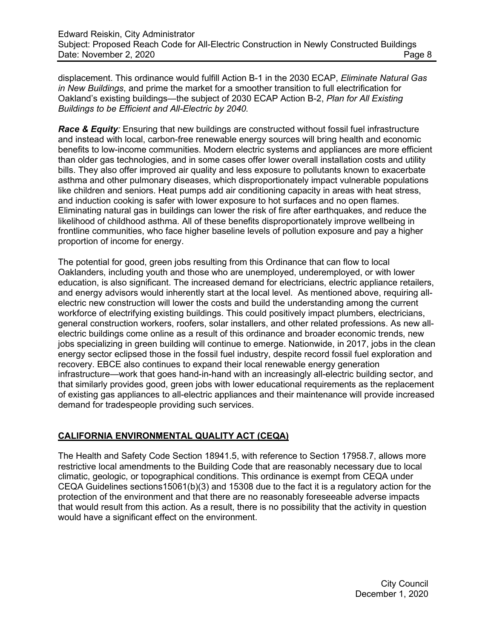displacement. This ordinance would fulfill Action B-1 in the 2030 ECAP, *Eliminate Natural Gas in New Buildings*, and prime the market for a smoother transition to full electrification for Oakland's existing buildings—the subject of 2030 ECAP Action B-2, *Plan for All Existing Buildings to be Efficient and All-Electric by 2040.*

*Race & Equity:* Ensuring that new buildings are constructed without fossil fuel infrastructure and instead with local, carbon-free renewable energy sources will bring health and economic benefits to low-income communities. Modern electric systems and appliances are more efficient than older gas technologies, and in some cases offer lower overall installation costs and utility bills. They also offer improved air quality and less exposure to pollutants known to exacerbate asthma and other pulmonary diseases, which disproportionately impact vulnerable populations like children and seniors. Heat pumps add air conditioning capacity in areas with heat stress, and induction cooking is safer with lower exposure to hot surfaces and no open flames. Eliminating natural gas in buildings can lower the risk of fire after earthquakes, and reduce the likelihood of childhood asthma. All of these benefits disproportionately improve wellbeing in frontline communities, who face higher baseline levels of pollution exposure and pay a higher proportion of income for energy.

The potential for good, green jobs resulting from this Ordinance that can flow to local Oaklanders, including youth and those who are unemployed, underemployed, or with lower education, is also significant. The increased demand for electricians, electric appliance retailers, and energy advisors would inherently start at the local level. As mentioned above, requiring allelectric new construction will lower the costs and build the understanding among the current workforce of electrifying existing buildings. This could positively impact plumbers, electricians, general construction workers, roofers, solar installers, and other related professions. As new allelectric buildings come online as a result of this ordinance and broader economic trends, new jobs specializing in green building will continue to emerge. Nationwide, in 2017, jobs in the clean energy sector eclipsed those in the fossil fuel industry, despite record fossil fuel exploration and recovery. EBCE also continues to expand their local renewable energy generation infrastructure—work that goes hand-in-hand with an increasingly all-electric building sector, and that similarly provides good, green jobs with lower educational requirements as the replacement of existing gas appliances to all-electric appliances and their maintenance will provide increased demand for tradespeople providing such services.

# **CALIFORNIA ENVIRONMENTAL QUALITY ACT (CEQA)**

The Health and Safety Code Section 18941.5, with reference to Section 17958.7, allows more restrictive local amendments to the Building Code that are reasonably necessary due to local climatic, geologic, or topographical conditions. This ordinance is exempt from CEQA under CEQA Guidelines sections15061(b)(3) and 15308 due to the fact it is a regulatory action for the protection of the environment and that there are no reasonably foreseeable adverse impacts that would result from this action. As a result, there is no possibility that the activity in question would have a significant effect on the environment.